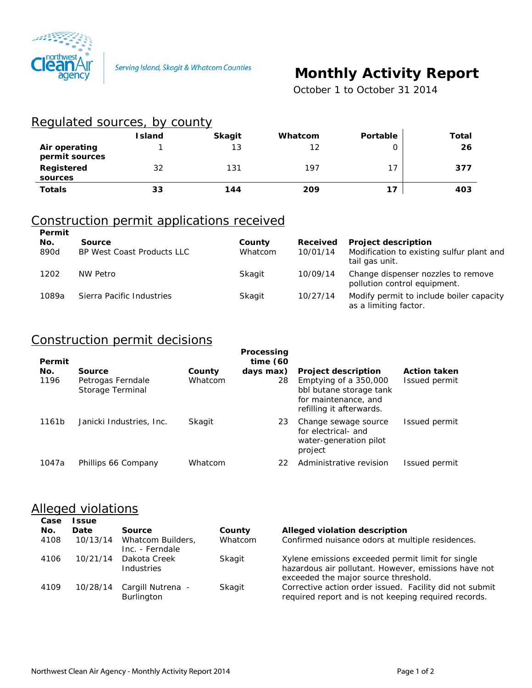

# **Monthly Activity Report**

 *October 1 to October 31 2014*

#### Regulated sources, by county

|                                 | <b>Island</b> | <b>Skagit</b> | Whatcom | Portable | Total |
|---------------------------------|---------------|---------------|---------|----------|-------|
| Air operating<br>permit sources |               | 13            | 12      |          | 26    |
| Registered<br>sources           | 32            | 131           | 197     | 17       | 377   |
| <b>Totals</b>                   | 33            | 144           | 209     | 17       | 403   |

## Construction permit applications received

| Permit<br>No.<br>890d | <b>Source</b><br>BP West Coast Products LLC | County<br>Whatcom | Received<br>10/01/14 | <b>Project description</b><br>Modification to existing sulfur plant and<br>tail gas unit. |
|-----------------------|---------------------------------------------|-------------------|----------------------|-------------------------------------------------------------------------------------------|
| 1202                  | NW Petro                                    | Skagit            | 10/09/14             | Change dispenser nozzles to remove<br>pollution control equipment.                        |
| 1089a                 | Sierra Pacific Industries                   | Skagit            | 10/27/14             | Modify permit to include boiler capacity<br>as a limiting factor.                         |

### Construction permit decisions

| Permit<br>No. | Source                                | County  | Processing<br>time $(60)$<br>days max) | <b>Project description</b>                                                                           | <b>Action taken</b> |
|---------------|---------------------------------------|---------|----------------------------------------|------------------------------------------------------------------------------------------------------|---------------------|
| 1196          | Petrogas Ferndale<br>Storage Terminal | Whatcom | 28                                     | Emptying of a 350,000<br>bbl butane storage tank<br>for maintenance, and<br>refilling it afterwards. | Issued permit       |
| 1161b         | Janicki Industries, Inc.              | Skagit  | 23                                     | Change sewage source<br>for electrical- and<br>water-generation pilot<br>project                     | Issued permit       |
| 1047a         | Phillips 66 Company                   | Whatcom | 22                                     | Administrative revision                                                                              | Issued permit       |

#### **Alleged violations**

| Case | <b>ssue</b> |                                      |         |                                                                                                                                                   |
|------|-------------|--------------------------------------|---------|---------------------------------------------------------------------------------------------------------------------------------------------------|
| No.  | Date        | Source                               | County  | Alleged violation description                                                                                                                     |
| 4108 | 10/13/14    | Whatcom Builders.<br>Inc. - Ferndale | Whatcom | Confirmed nuisance odors at multiple residences.                                                                                                  |
| 4106 | 10/21/14    | Dakota Creek<br>Industries           | Skagit  | Xylene emissions exceeded permit limit for single<br>hazardous air pollutant. However, emissions have not<br>exceeded the major source threshold. |
| 4109 | 10/28/14    | Cargill Nutrena -<br>Burlington      | Skagit  | Corrective action order issued. Facility did not submit<br>required report and is not keeping required records.                                   |